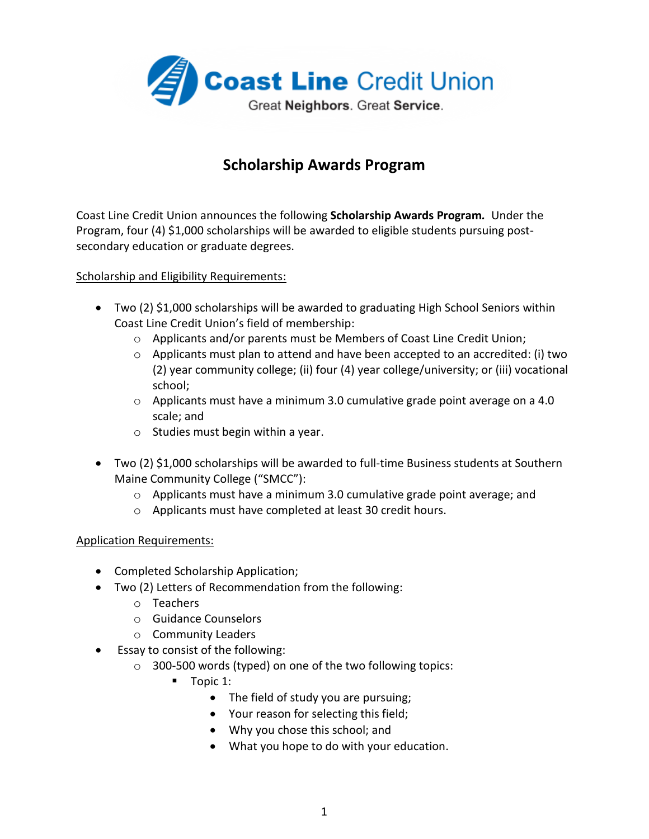

# **Scholarship Awards Program**

Coast Line Credit Union announces the following **Scholarship Awards Program***.* Under the Program, four (4) \$1,000 scholarships will be awarded to eligible students pursuing postsecondary education or graduate degrees.

### Scholarship and Eligibility Requirements:

- Two (2) \$1,000 scholarships will be awarded to graduating High School Seniors within Coast Line Credit Union's field of membership:
	- $\circ$  Applicants and/or parents must be Members of Coast Line Credit Union;
	- $\circ$  Applicants must plan to attend and have been accepted to an accredited: (i) two (2) year community college; (ii) four (4) year college/university; or (iii) vocational school;
	- o Applicants must have a minimum 3.0 cumulative grade point average on a 4.0 scale; and
	- o Studies must begin within a year.
- Two (2) \$1,000 scholarships will be awarded to full-time Business students at Southern Maine Community College ("SMCC"):
	- o Applicants must have a minimum 3.0 cumulative grade point average; and
	- o Applicants must have completed at least 30 credit hours.

### Application Requirements:

- Completed Scholarship Application;
- Two (2) Letters of Recommendation from the following:
	- o Teachers
	- o Guidance Counselors
	- o Community Leaders
- Essay to consist of the following:
	- o 300-500 words (typed) on one of the two following topics:
		- $\blacksquare$  Topic 1:
			- The field of study you are pursuing;
			- Your reason for selecting this field;
			- Why you chose this school; and
			- What you hope to do with your education.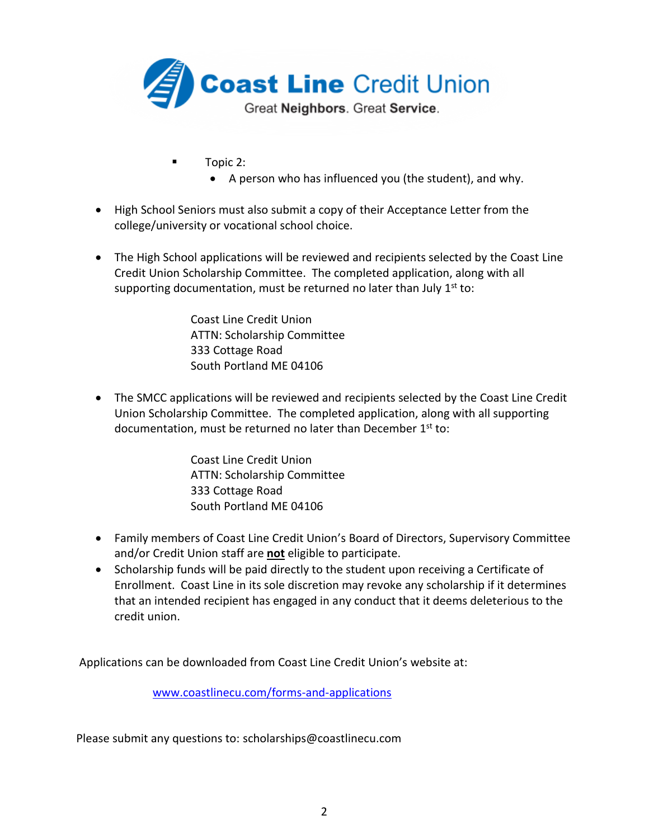

- Topic 2:
	- A person who has influenced you (the student), and why.
- High School Seniors must also submit a copy of their Acceptance Letter from the college/university or vocational school choice.
- The High School applications will be reviewed and recipients selected by the Coast Line Credit Union Scholarship Committee. The completed application, along with all supporting documentation, must be returned no later than July  $1^{st}$  to:

Coast Line Credit Union ATTN: Scholarship Committee 333 Cottage Road South Portland ME 04106

• The SMCC applications will be reviewed and recipients selected by the Coast Line Credit Union Scholarship Committee. The completed application, along with all supporting documentation, must be returned no later than December 1<sup>st</sup> to:

> Coast Line Credit Union ATTN: Scholarship Committee 333 Cottage Road South Portland ME 04106

- Family members of Coast Line Credit Union's Board of Directors, Supervisory Committee and/or Credit Union staff are **not** eligible to participate.
- Scholarship funds will be paid directly to the student upon receiving a Certificate of Enrollment. Coast Line in its sole discretion may revoke any scholarship if it determines that an intended recipient has engaged in any conduct that it deems deleterious to the credit union.

Applications can be downloaded from Coast Line Credit Union's website at:

www.coastlinecu.com/forms-and-applications

Please submit any questions to: scholarships@coastlinecu.com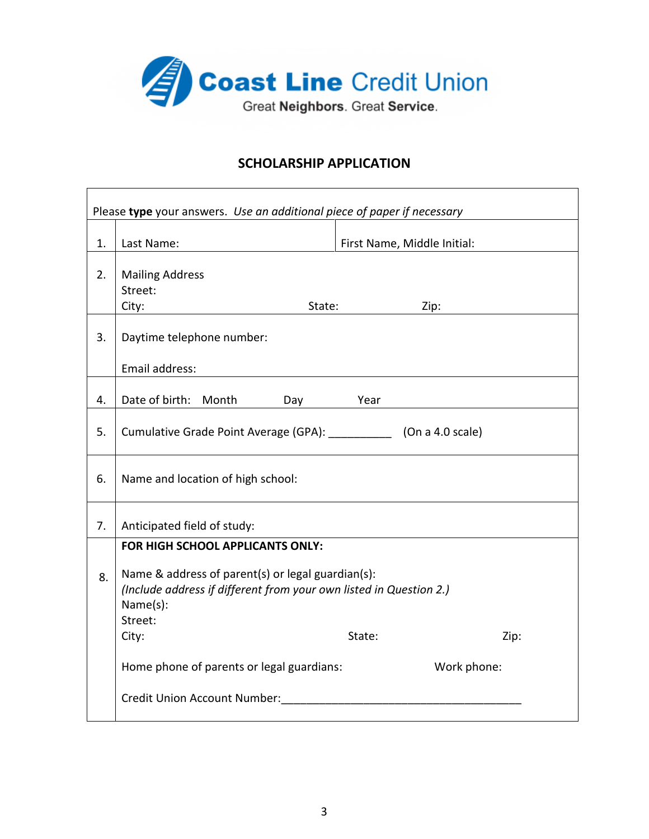

Г

## **SCHOLARSHIP APPLICATION**

| Please type your answers. Use an additional piece of paper if necessary |                                                                                                                                                                           |                             |             |  |
|-------------------------------------------------------------------------|---------------------------------------------------------------------------------------------------------------------------------------------------------------------------|-----------------------------|-------------|--|
| 1.                                                                      | Last Name:                                                                                                                                                                | First Name, Middle Initial: |             |  |
|                                                                         |                                                                                                                                                                           |                             |             |  |
| 2.                                                                      | <b>Mailing Address</b>                                                                                                                                                    |                             |             |  |
|                                                                         | Street:                                                                                                                                                                   |                             |             |  |
|                                                                         | City:<br>State:                                                                                                                                                           |                             | Zip:        |  |
| 3.                                                                      | Daytime telephone number:                                                                                                                                                 |                             |             |  |
|                                                                         | Email address:                                                                                                                                                            |                             |             |  |
| 4.                                                                      | Date of birth: Month<br>Day Year                                                                                                                                          |                             |             |  |
| 5.                                                                      | Cumulative Grade Point Average (GPA): [10] (On a 4.0 scale)                                                                                                               |                             |             |  |
| 6.                                                                      | Name and location of high school:                                                                                                                                         |                             |             |  |
| 7.                                                                      | Anticipated field of study:                                                                                                                                               |                             |             |  |
|                                                                         | FOR HIGH SCHOOL APPLICANTS ONLY:                                                                                                                                          |                             |             |  |
| 8.                                                                      | Name & address of parent(s) or legal guardian(s):<br>(Include address if different from your own listed in Question 2.)<br>Name(s):<br>Street:<br>City:<br>State:<br>Zip: |                             |             |  |
|                                                                         |                                                                                                                                                                           |                             |             |  |
|                                                                         | Home phone of parents or legal guardians:                                                                                                                                 |                             | Work phone: |  |
|                                                                         | Credit Union Account Number:                                                                                                                                              |                             |             |  |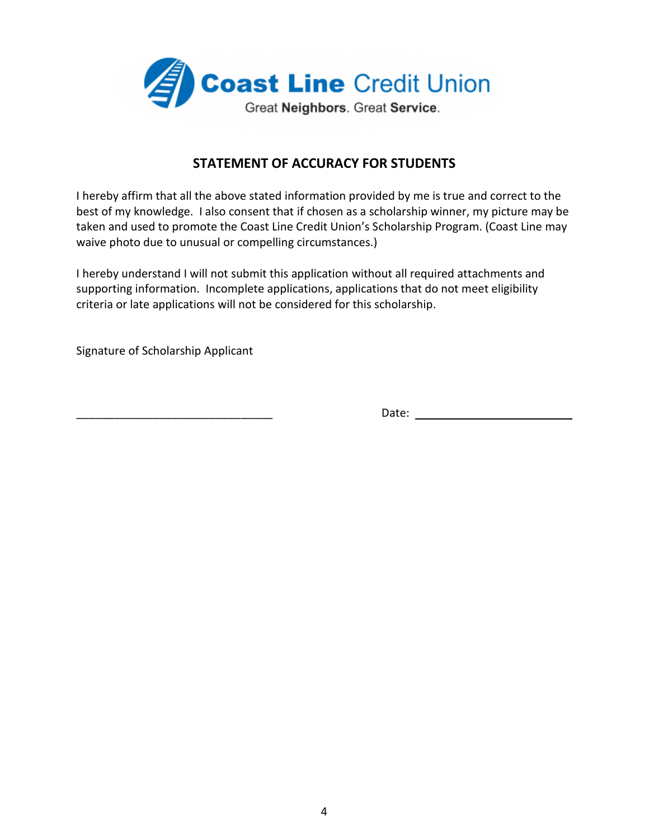

### **STATEMENT OF ACCURACY FOR STUDENTS**

I hereby affirm that all the above stated information provided by me is true and correct to the best of my knowledge. I also consent that if chosen as a scholarship winner, my picture may be taken and used to promote the Coast Line Credit Union's Scholarship Program. (Coast Line may waive photo due to unusual or compelling circumstances.)

I hereby understand I will not submit this application without all required attachments and supporting information. Incomplete applications, applications that do not meet eligibility criteria or late applications will not be considered for this scholarship.

Signature of Scholarship Applicant

\_\_\_\_\_\_\_\_\_\_\_\_\_\_\_\_\_\_\_\_\_\_\_\_\_\_\_\_\_\_\_ Date: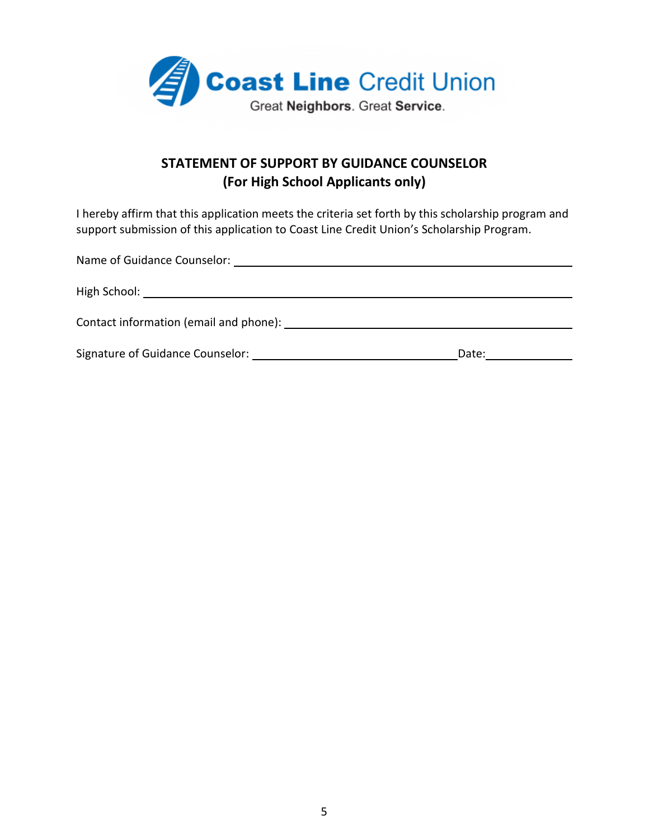

# **STATEMENT OF SUPPORT BY GUIDANCE COUNSELOR (For High School Applicants only)**

I hereby affirm that this application meets the criteria set forth by this scholarship program and support submission of this application to Coast Line Credit Union's Scholarship Program.

| Contact information (email and phone): Next and some series are sensing that the control of the control of the control of the control of the control of the control of the control of the control of the control of the contro |  |  |  |  |
|--------------------------------------------------------------------------------------------------------------------------------------------------------------------------------------------------------------------------------|--|--|--|--|
| Date:                                                                                                                                                                                                                          |  |  |  |  |
|                                                                                                                                                                                                                                |  |  |  |  |